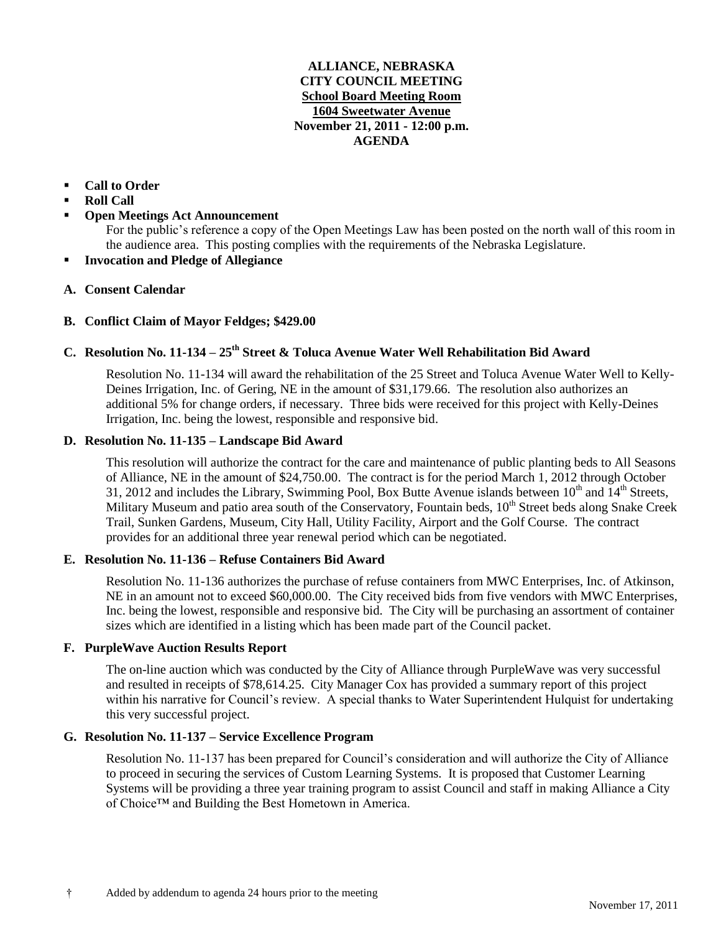#### **ALLIANCE, NEBRASKA CITY COUNCIL MEETING School Board Meeting Room 1604 Sweetwater Avenue November 21, 2011 - 12:00 p.m. AGENDA**

## **Call to Order**

- **Roll Call**
- **Open Meetings Act Announcement**

For the public's reference a copy of the Open Meetings Law has been posted on the north wall of this room in the audience area. This posting complies with the requirements of the Nebraska Legislature.

**Invocation and Pledge of Allegiance**

## **A. Consent Calendar**

## **B. Conflict Claim of Mayor Feldges; \$429.00**

## **C. Resolution No. 11-134 – 25 th Street & Toluca Avenue Water Well Rehabilitation Bid Award**

Resolution No. 11-134 will award the rehabilitation of the 25 Street and Toluca Avenue Water Well to Kelly-Deines Irrigation, Inc. of Gering, NE in the amount of \$31,179.66. The resolution also authorizes an additional 5% for change orders, if necessary. Three bids were received for this project with Kelly-Deines Irrigation, Inc. being the lowest, responsible and responsive bid.

#### **D. Resolution No. 11-135 – Landscape Bid Award**

This resolution will authorize the contract for the care and maintenance of public planting beds to All Seasons of Alliance, NE in the amount of \$24,750.00. The contract is for the period March 1, 2012 through October 31, 2012 and includes the Library, Swimming Pool, Box Butte Avenue islands between  $10^{th}$  and  $14^{th}$  Streets, Military Museum and patio area south of the Conservatory, Fountain beds,  $10<sup>th</sup>$  Street beds along Snake Creek Trail, Sunken Gardens, Museum, City Hall, Utility Facility, Airport and the Golf Course. The contract provides for an additional three year renewal period which can be negotiated.

#### **E. Resolution No. 11-136 – Refuse Containers Bid Award**

Resolution No. 11-136 authorizes the purchase of refuse containers from MWC Enterprises, Inc. of Atkinson, NE in an amount not to exceed \$60,000.00. The City received bids from five vendors with MWC Enterprises, Inc. being the lowest, responsible and responsive bid. The City will be purchasing an assortment of container sizes which are identified in a listing which has been made part of the Council packet.

#### **F. PurpleWave Auction Results Report**

The on-line auction which was conducted by the City of Alliance through PurpleWave was very successful and resulted in receipts of \$78,614.25. City Manager Cox has provided a summary report of this project within his narrative for Council's review. A special thanks to Water Superintendent Hulquist for undertaking this very successful project.

#### **G. Resolution No. 11-137 – Service Excellence Program**

Resolution No. 11-137 has been prepared for Council's consideration and will authorize the City of Alliance to proceed in securing the services of Custom Learning Systems. It is proposed that Customer Learning Systems will be providing a three year training program to assist Council and staff in making Alliance a City of Choice™ and Building the Best Hometown in America.